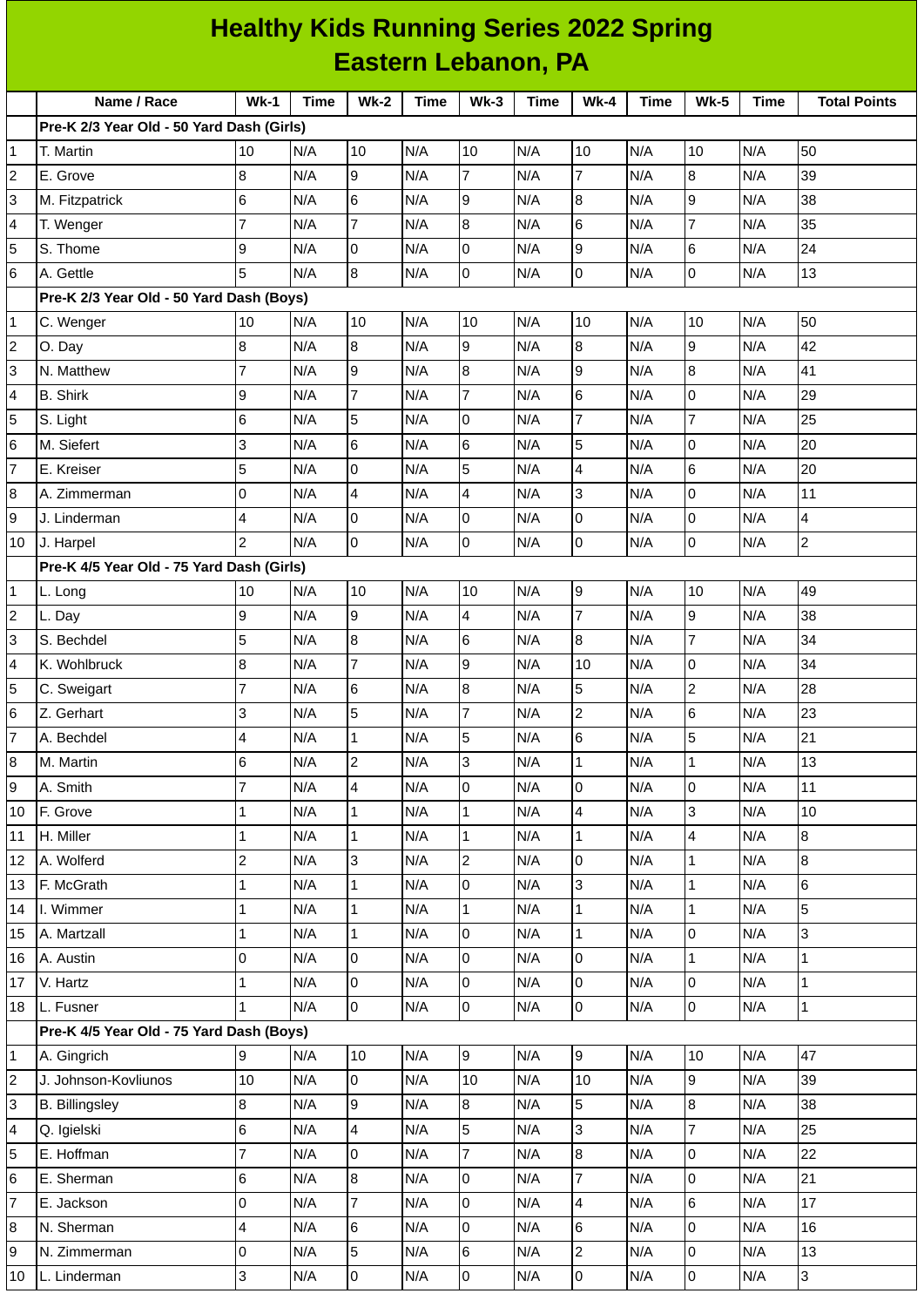| <b>Healthy Kids Running Series 2022 Spring</b> |                                           |                |             |                 |             |                     |             |                |      |                     |             |                     |
|------------------------------------------------|-------------------------------------------|----------------|-------------|-----------------|-------------|---------------------|-------------|----------------|------|---------------------|-------------|---------------------|
|                                                | <b>Eastern Lebanon, PA</b>                |                |             |                 |             |                     |             |                |      |                     |             |                     |
|                                                | Name / Race                               | $Wk-1$         | <b>Time</b> | $Wk-2$          | <b>Time</b> | $Wk-3$              | <b>Time</b> | $Wk-4$         | Time | <b>Wk-5</b>         | <b>Time</b> | <b>Total Points</b> |
|                                                | Pre-K 2/3 Year Old - 50 Yard Dash (Girls) |                |             |                 |             |                     |             |                |      |                     |             |                     |
| $\mathbf 1$                                    | T. Martin                                 | 10             | N/A         | 10              | N/A         | 10                  | N/A         | 10             | N/A  | 10                  | N/A         | 50                  |
| $\overline{c}$                                 | E. Grove                                  | 8              | N/A         | 9               | N/A         | $\overline{7}$      | N/A         | $\overline{7}$ | N/A  | 8                   | N/A         | 39                  |
| 3                                              | M. Fitzpatrick                            | 6              | N/A         | $6\overline{6}$ | N/A         | 9                   | N/A         | 8              | N/A  | 9                   | N/A         | 38                  |
| $\overline{4}$                                 | T. Wenger                                 | $\overline{7}$ | N/A         | $\overline{7}$  | N/A         | 8                   | N/A         | $6\phantom{a}$ | N/A  | $\overline{7}$      | N/A         | 35                  |
| 5                                              | S. Thome                                  | 9              | N/A         | O               | N/A         | 0                   | N/A         | 9              | N/A  | 6                   | N/A         | 24                  |
| $\,$ 6                                         | A. Gettle                                 | 5              | N/A         | 8               | N/A         | 0                   | N/A         | 0              | N/A  | $\mathsf 0$         | N/A         | 13                  |
|                                                | Pre-K 2/3 Year Old - 50 Yard Dash (Boys)  |                |             |                 |             |                     |             |                |      |                     |             |                     |
| $\mathbf{1}$                                   | C. Wenger                                 | 10             | N/A         | 10              | N/A         | 10                  | N/A         | 10             | N/A  | 10                  | N/A         | 50                  |
| $\overline{c}$                                 | O. Day                                    | 8              | N/A         | $\overline{8}$  | N/A         | $\overline{9}$      | N/A         | 8              | N/A  | 9                   | N/A         | 42                  |
| 3                                              | N. Matthew                                | $\overline{7}$ | N/A         | 9               | N/A         | 8                   | N/A         | 9              | N/A  | 8                   | N/A         | 41                  |
| $\overline{4}$                                 | <b>B.</b> Shirk                           | 9              | N/A         | $\overline{7}$  | N/A         | $\overline{7}$      | N/A         | 6              | N/A  | $\Omega$            | N/A         | 29                  |
| 5                                              | S. Light                                  | 6              | N/A         | 5               | N/A         | 0                   | N/A         | $\overline{7}$ | N/A  | $\overline{7}$      | N/A         | 25                  |
| $6\phantom{.}6$                                | M. Siefert                                | 3              | N/A         | 6               | N/A         | $6\phantom{.}6$     | N/A         | 5              | N/A  | $\Omega$            | N/A         | 20                  |
| $\overline{7}$                                 | E. Kreiser                                | 5              | N/A         | 0               | N/A         | 5                   | N/A         | 4              | N/A  | 6                   | N/A         | 20                  |
| $\bf 8$                                        | A. Zimmerman                              | 0              | N/A         | $\overline{4}$  | N/A         | 4                   | N/A         | 3              | N/A  | 0                   | N/A         | 11                  |
| 9                                              | J. Linderman                              | 4              | N/A         | O               | N/A         | 0                   | N/A         | 0              | N/A  | 0                   | N/A         | $\overline{4}$      |
| 10                                             | J. Harpel                                 | $\overline{c}$ | N/A         | l0              | N/A         | 0                   | N/A         | 0              | N/A  | $\mathsf{O}$        | N/A         | $\overline{c}$      |
|                                                | Pre-K 4/5 Year Old - 75 Yard Dash (Girls) |                |             |                 |             |                     |             |                |      |                     |             |                     |
| $\mathbf{1}$                                   | L. Long                                   | 10             | N/A         | 10              | N/A         | 10                  | N/A         | 9              | N/A  | 10                  | N/A         | 49                  |
| $\overline{c}$                                 | L. Day                                    | 9              | N/A         | 9               | N/A         | 4                   | N/A         | $\overline{7}$ | N/A  | 9                   | N/A         | 38                  |
| 3                                              | S. Bechdel                                | 5              | N/A         | 8               | N/A         | $6\phantom{.}6$     | N/A         | 8              | N/A  | $\overline{7}$      | N/A         | 34                  |
| 4                                              | K. Wohlbruck                              | 8              | N/A         | $\overline{7}$  | N/A         | 9                   | N/A         | 10             | N/A  | 0                   | N/A         | 34                  |
| 5                                              | C. Sweigart                               | $\overline{7}$ | N/A         | 6               | N/A         | 8                   | N/A         | 5              | N/A  | $\overline{c}$      | N/A         | 28                  |
| 6                                              | Z. Gerhart                                | 3              | N/A         | 5               | N/A         | $\overline{7}$      | N/A         | $\overline{c}$ | N/A  | 6                   | N/A         | 23                  |
| $\overline{7}$                                 | A. Bechdel                                | 4              | N/A         | $\mathbf{1}$    | N/A         | 5                   | N/A         | 6              | N/A  | 5                   | N/A         | 21                  |
| $\bf 8$                                        | M. Martin                                 | 6              | N/A         | $\overline{2}$  | N/A         | $\overline{3}$      | N/A         | $\mathbf{1}$   | N/A  | $\mathbf{1}$        | N/A         | 13                  |
| 9                                              | A. Smith                                  | 7              | N/A         | 4               | N/A         | $\overline{0}$      | N/A         | 0              | N/A  | 0                   | N/A         | 11                  |
| 10                                             | F. Grove                                  | 1              | N/A         | $\mathbf{1}$    | N/A         | $\mathbf{1}$        | N/A         | 4              | N/A  | 3                   | N/A         | 10                  |
| 11                                             | H. Miller                                 | 1              | N/A         | $\mathbf{1}$    | N/A         | $\mathbf{1}$        | N/A         | $\mathbf{1}$   | N/A  | $\overline{4}$      | N/A         | $\overline{8}$      |
| 12                                             | A. Wolferd                                | $\overline{c}$ | N/A         | $\overline{3}$  | N/A         | $\overline{c}$      | N/A         | 0              | N/A  | $\mathbf{1}$        | N/A         | $\bf{8}$            |
| 13                                             | F. McGrath                                | $\mathbf{1}$   | N/A         | $\mathbf{1}$    | N/A         | $\overline{0}$      | N/A         | 3              | N/A  | $\mathbf{1}$        | N/A         | 6                   |
| 14                                             | I. Wimmer                                 | 1              | N/A         | $\overline{1}$  | N/A         | $\mathbf 1$         | N/A         | $\mathbf{1}$   | N/A  | $\mathbf{1}$        | N/A         | 5                   |
| 15                                             | A. Martzall                               | 1              | N/A         | $\mathbf{1}$    | N/A         | 0                   | N/A         | $\mathbf 1$    | N/A  | $\mathsf{O}$        | N/A         | 3                   |
| 16                                             | A. Austin                                 | 0              | N/A         | $\overline{0}$  | N/A         | 0                   | N/A         | 0              | N/A  | $\mathbf{1}$        | N/A         | $\mathbf{1}$        |
| 17                                             | V. Hartz                                  | 1              | N/A         | l0              | N/A         | 0                   | N/A         | 0              | N/A  | 0                   | N/A         | $\mathbf 1$         |
| 18                                             | L. Fusner                                 | 1              | N/A         | $\overline{0}$  | N/A         | $\mathsf{O}$        | N/A         | 0              | N/A  | $\mathsf 0$         | N/A         | $\mathbf 1$         |
|                                                | Pre-K 4/5 Year Old - 75 Yard Dash (Boys)  |                |             |                 |             |                     |             |                |      |                     |             |                     |
| $\mathbf 1$                                    | A. Gingrich                               | 9              | N/A         | 10              | N/A         | 9                   | N/A         | 9              | N/A  | 10                  | N/A         | 47                  |
| $\overline{c}$                                 | J. Johnson-Kovliunos                      | 10             | N/A         | $\overline{0}$  | N/A         | 10                  | N/A         | 10             | N/A  | 9                   | N/A         | 39                  |
| 3                                              | <b>B.</b> Billingsley                     | 8              | N/A         | 9               | N/A         | 8                   | N/A         | 5              | N/A  | 8                   | N/A         | 38                  |
| 4                                              | Q. Igielski                               | 6              | N/A         | $\overline{4}$  | N/A         | 5                   | N/A         | 3              | N/A  | $\overline{7}$      | N/A         | 25                  |
| 5                                              | E. Hoffman                                | $\overline{7}$ | N/A         | $\overline{0}$  | N/A         | $\overline{7}$      | N/A         | 8              | N/A  | $\mathbf 0$         | N/A         | 22                  |
| 6                                              | E. Sherman                                | 6              | N/A         | $\overline{8}$  | N/A         | 0                   | N/A         | $\overline{7}$ | N/A  | 0                   | N/A         | 21                  |
| $\overline{7}$                                 | E. Jackson                                | 0              | N/A         | $\overline{7}$  | N/A         | 0                   | N/A         | 4              | N/A  | 6                   | N/A         | 17                  |
| $\bf 8$                                        | N. Sherman                                | 4              | N/A         | $6\phantom{.}6$ | N/A         | 0                   | N/A         | 6              | N/A  | $\overline{0}$      | N/A         | 16                  |
| 9                                              | N. Zimmerman                              | 0              | N/A         | 5               | N/A         | 6                   | N/A         | $\overline{c}$ | N/A  | $\mathsf 0$         | N/A         | 13                  |
| 10                                             | L. Linderman                              | 3              | N/A         | $\overline{0}$  | N/A         | $\mathsf{O}\xspace$ | N/A         | 0              | N/A  | $\mathsf{O}\xspace$ | N/A         | 3                   |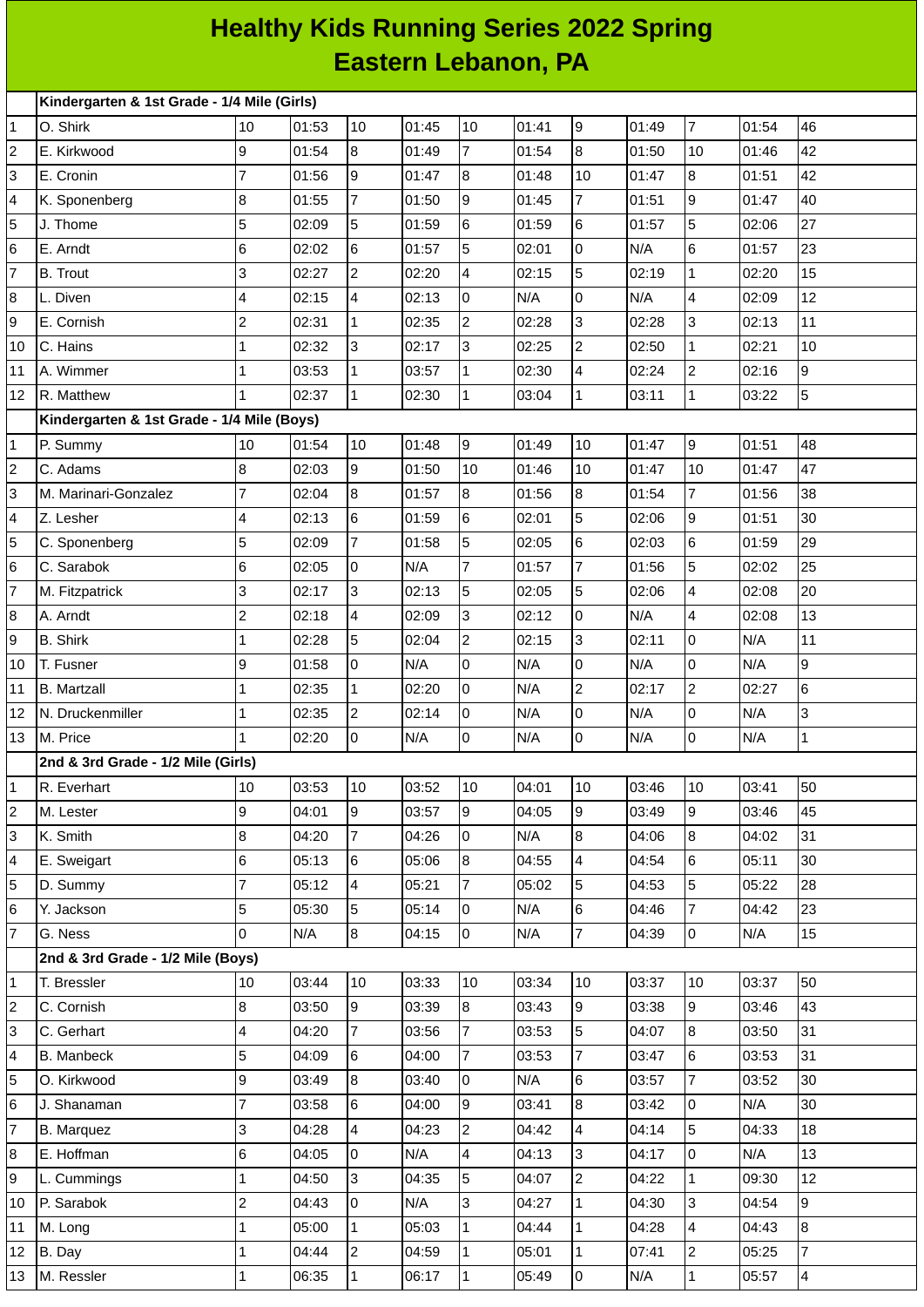## **Healthy Kids Running Series 2022 Spring Eastern Lebanon, PA**

|                | Kindergarten & 1st Grade - 1/4 Mile (Girls) |                 |       |                         |       |                  |       |                |       |                         |       |                |
|----------------|---------------------------------------------|-----------------|-------|-------------------------|-------|------------------|-------|----------------|-------|-------------------------|-------|----------------|
| $\mathbf{1}$   | O. Shirk                                    | 10              | 01:53 | 10                      | 01:45 | 10               | 01:41 | l9             | 01:49 | $\overline{7}$          | 01:54 | 46             |
| $\overline{c}$ | E. Kirkwood                                 | 9               | 01:54 | 8                       | 01:49 | $\overline{7}$   | 01:54 | 8              | 01:50 | 10                      | 01:46 | 42             |
| 3              | E. Cronin                                   | $\overline{7}$  | 01:56 | 9                       | 01:47 | $\bf{8}$         | 01:48 | 10             | 01:47 | 8                       | 01:51 | 42             |
| 4              | K. Sponenberg                               | $\bf{8}$        | 01:55 | $\overline{7}$          | 01:50 | 9                | 01:45 | $\overline{7}$ | 01:51 | 9                       | 01:47 | 40             |
| 5              | J. Thome                                    | 5               | 02:09 | 5                       | 01:59 | $6\phantom{.}6$  | 01:59 | 6              | 01:57 | 5                       | 02:06 | 27             |
| 6              | E. Arndt                                    | $6\overline{6}$ | 02:02 | 6                       | 01:57 | 5                | 02:01 | $\Omega$       | N/A   | $6\overline{6}$         | 01:57 | 23             |
| $\overline{7}$ | <b>B.</b> Trout                             | 3               | 02:27 | $\overline{c}$          | 02:20 | $\overline{4}$   | 02:15 | 5              | 02:19 | $\mathbf 1$             | 02:20 | 15             |
| 8              | L. Diven                                    | $\overline{4}$  | 02:15 | $\overline{\mathbf{4}}$ | 02:13 | 0                | N/A   | 0              | N/A   | $\pmb{4}$               | 02:09 | 12             |
| 9              | E. Cornish                                  | $\overline{c}$  | 02:31 | $\overline{1}$          | 02:35 | $\mathbf{2}$     | 02:28 | 3              | 02:28 | 3                       | 02:13 | 11             |
| 10             | C. Hains                                    | 1               | 02:32 | 3                       | 02:17 | 3                | 02:25 | $\overline{c}$ | 02:50 | $\mathbf{1}$            | 02:21 | 10             |
| 11             | A. Wimmer                                   | 1               | 03:53 | $\mathbf 1$             | 03:57 | $\mathbf 1$      | 02:30 | 4              | 02:24 | $\overline{c}$          | 02:16 | 9              |
| 12             | R. Matthew                                  | $\mathbf{1}$    | 02:37 | $\overline{1}$          | 02:30 | $\mathbf{1}$     | 03:04 | $\mathbf{1}$   | 03:11 | $\mathbf{1}$            | 03:22 | 5              |
|                | Kindergarten & 1st Grade - 1/4 Mile (Boys)  |                 |       |                         |       |                  |       |                |       |                         |       |                |
| 1              | P. Summy                                    | 10              | 01:54 | 10                      | 01:48 | 9                | 01:49 | 10             | 01:47 | $\boldsymbol{9}$        | 01:51 | 48             |
| $\overline{c}$ | C. Adams                                    | $\bf{8}$        | 02:03 | 9                       | 01:50 | 10               | 01:46 | 10             | 01:47 | 10                      | 01:47 | 47             |
| 3              | M. Marinari-Gonzalez                        | 7               | 02:04 | $\, 8$                  | 01:57 | $\bf{8}$         | 01:56 | 8              | 01:54 | 7                       | 01:56 | 38             |
| 4              | Z. Lesher                                   | $\overline{4}$  | 02:13 | $6\phantom{a}$          | 01:59 | 6                | 02:01 | 5              | 02:06 | 9                       | 01:51 | 30             |
| 5              | C. Sponenberg                               | 5               | 02:09 | $\overline{7}$          | 01:58 | 5                | 02:05 | 6              | 02:03 | $\,6$                   | 01:59 | 29             |
| 6              | C. Sarabok                                  | $6\phantom{.}6$ | 02:05 | 0                       | N/A   | 7                | 01:57 | 7              | 01:56 | 5                       | 02:02 | 25             |
| $\overline{7}$ | M. Fitzpatrick                              | 3               | 02:17 | 3                       | 02:13 | 5                | 02:05 | 5              | 02:06 | $\overline{\mathbf{4}}$ | 02:08 | 20             |
| 8              | A. Arndt                                    | $\overline{c}$  | 02:18 | $\overline{\mathbf{4}}$ | 02:09 | 3                | 02:12 | 0              | N/A   | 4                       | 02:08 | 13             |
| 9              | <b>B.</b> Shirk                             | $\mathbf{1}$    | 02:28 | 5                       | 02:04 | $\mathbf{2}$     | 02:15 | 3              | 02:11 | $\mathsf 0$             | N/A   | 11             |
| 10             | T. Fusner                                   | 9               | 01:58 | 0                       | N/A   | $\overline{0}$   | N/A   | 0              | N/A   | $\mathsf 0$             | N/A   | 9              |
| 11             | <b>B.</b> Martzall                          | 1               | 02:35 | $\overline{1}$          | 02:20 | $\overline{0}$   | N/A   | $\overline{c}$ | 02:17 | $\overline{c}$          | 02:27 | 6              |
| 12             | N. Druckenmiller                            | 1               | 02:35 | $\overline{c}$          | 02:14 | 0                | N/A   | 0              | N/A   | $\mathsf 0$             | N/A   | 3              |
| 13             | M. Price                                    | 1               | 02:20 | 0                       | N/A   | l0               | N/A   | 0              | N/A   | $\mathsf 0$             | N/A   | $\mathbf{1}$   |
|                | 2nd & 3rd Grade - 1/2 Mile (Girls)          |                 |       |                         |       |                  |       |                |       |                         |       |                |
| 1              | R. Everhart                                 | 10              | 03:53 | 10                      | 03:52 | 10               | 04:01 | 10             | 03:46 | 10                      | 03:41 | 50             |
| $\overline{c}$ | M. Lester                                   | 9               | 04:01 | 9                       | 03:57 | 9                | 04:05 | 9              | 03:49 | 9                       | 03:46 | 45             |
| 3              | K. Smith                                    | $\bf{8}$        | 04:20 | $\overline{7}$          | 04:26 | 0                | N/A   | 8              | 04:06 | 8                       | 04:02 | 31             |
| 4              | E. Sweigart                                 | $6\phantom{.}6$ | 05:13 | $\,6$                   | 05:06 | $\bf{8}$         | 04:55 | $\overline{4}$ | 04:54 | 6                       | 05:11 | 30             |
| 5              | D. Summy                                    | $\overline{7}$  | 05:12 | $\overline{4}$          | 05:21 | $\overline{7}$   | 05:02 | 5              | 04:53 | 5                       | 05:22 | 28             |
| 6              | Y. Jackson                                  | 5               | 05:30 | 5                       | 05:14 | $\overline{0}$   | N/A   | 6              | 04:46 | $\overline{7}$          | 04:42 | 23             |
| $\overline{7}$ | G. Ness                                     | l0              | N/A   | 8                       | 04:15 | lo.              | N/A   | $\overline{7}$ | 04:39 | $\overline{0}$          | N/A   | 15             |
|                | 2nd & 3rd Grade - 1/2 Mile (Boys)           |                 |       |                         |       |                  |       |                |       |                         |       |                |
| $\mathbf 1$    | T. Bressler                                 | 10              | 03:44 | 10                      | 03:33 | 10               | 03:34 | 10             | 03:37 | 10                      | 03:37 | 50             |
| $\overline{c}$ | C. Cornish                                  | $\bf{8}$        | 03:50 | 9                       | 03:39 | $\boldsymbol{8}$ | 03:43 | 9              | 03:38 | 9                       | 03:46 | 43             |
| 3              | C. Gerhart                                  | $\overline{4}$  | 04:20 | $\overline{7}$          | 03:56 | $\overline{7}$   | 03:53 | 5              | 04:07 | $\boldsymbol{8}$        | 03:50 | 31             |
| 4              | <b>B.</b> Manbeck                           | 5               | 04:09 | 6                       | 04:00 | $\overline{7}$   | 03:53 | $\overline{7}$ | 03:47 | $6\phantom{.}6$         | 03:53 | 31             |
| 5              | O. Kirkwood                                 | 9               | 03:49 | 8                       | 03:40 | O                | N/A   | 6              | 03:57 | $\overline{7}$          | 03:52 | 30             |
| 6              | J. Shanaman                                 | $\overline{7}$  | 03:58 | $6\phantom{a}$          | 04:00 | 9                | 03:41 | 8              | 03:42 | $\mathsf 0$             | N/A   | 30             |
| $\overline{7}$ | <b>B.</b> Marquez                           | 3               | 04:28 | $\overline{4}$          | 04:23 | $\overline{c}$   | 04:42 | $\overline{4}$ | 04:14 | 5                       | 04:33 | 18             |
| 8              | E. Hoffman                                  | $6\phantom{.}6$ | 04:05 | 0                       | N/A   | 4                | 04:13 | 3              | 04:17 | 0                       | N/A   | 13             |
| 9              | L. Cummings                                 | 1               | 04:50 | 3                       | 04:35 | 5                | 04:07 | $\overline{c}$ | 04:22 | $\mathbf{1}$            | 09:30 | 12             |
| 10             | P. Sarabok                                  | 2               | 04:43 | 0                       | N/A   | 3                | 04:27 | $\mathbf{1}$   | 04:30 | 3                       | 04:54 | $\overline{9}$ |
| $11\,$         | M. Long                                     | 1               | 05:00 | $\mathbf{1}$            | 05:03 | $\mathbf 1$      | 04:44 | 1              | 04:28 | $\overline{4}$          | 04:43 | 8              |
| 12             | B. Day                                      | 1               | 04:44 | $\overline{c}$          | 04:59 | $\mathbf{1}$     | 05:01 | $\mathbf{1}$   | 07:41 | $\overline{c}$          | 05:25 | $\overline{7}$ |
| 13             | M. Ressler                                  | $\mathbf 1$     | 06:35 | 1                       | 06:17 | $\mathbf{1}$     | 05:49 | $\overline{0}$ | N/A   | $\mathbf{1}$            | 05:57 | $\overline{4}$ |